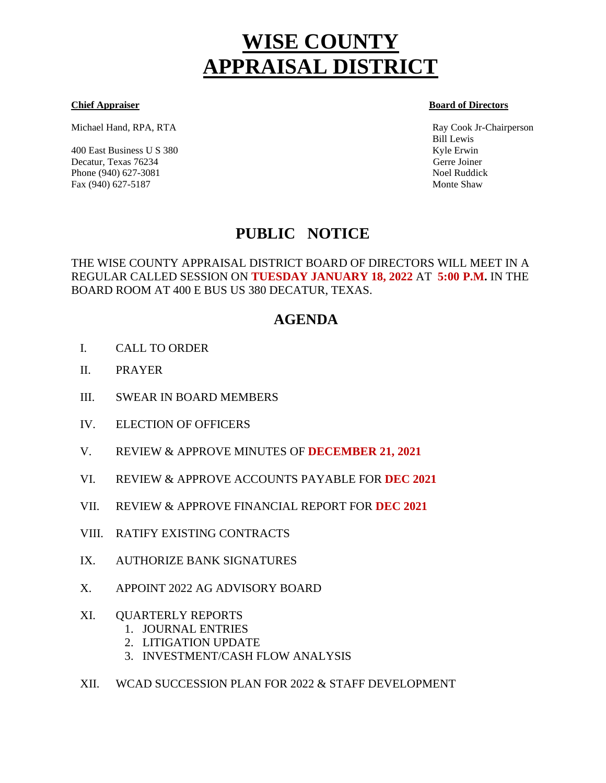# **WISE COUNTY APPRAISAL DISTRICT**

Michael Hand, RPA, RTA Ray Cook Jr-Chairperson

400 East Business U S 380 Kyle Erwin Kyle Erwin Kyle Erwin Kyle Erwin Kyle Erwin Kyle Erwin Kyle Erwin Kyle Erwin Kyle Erwin Kyle Erwin Kyle Erwin Kyle Erwin Kyle Erwin Kyle Erwin Kyle Erwin Kyle Erwin Kyle Erwin Kyle Erwi Decatur, Texas 76234 Gerre Joiner Phone (940) 627-3081 Noel Ruddick Fax (940) 627-5187 Monte Shaw

**Chief Appraiser Board of Directors** 

Bill Lewis

## **PUBLIC NOTICE**

THE WISE COUNTY APPRAISAL DISTRICT BOARD OF DIRECTORS WILL MEET IN A REGULAR CALLED SESSION ON **TUESDAY JANUARY 18, 2022** AT **5:00 P.M.** IN THE BOARD ROOM AT 400 E BUS US 380 DECATUR, TEXAS.

### **AGENDA**

- I. CALL TO ORDER Ì
- II. PRAYER
- III. SWEAR IN BOARD MEMBERS
- IV. ELECTION OF OFFICERS
- V. REVIEW & APPROVE MINUTES OF **DECEMBER 21, 2021**
- VI. REVIEW & APPROVE ACCOUNTS PAYABLE FOR **DEC 2021**
- VII. REVIEW & APPROVE FINANCIAL REPORT FOR **DEC 2021**
- VIII. RATIFY EXISTING CONTRACTS
- IX. AUTHORIZE BANK SIGNATURES
- X. APPOINT 2022 AG ADVISORY BOARD
- XI. QUARTERLY REPORTS
	- 1. JOURNAL ENTRIES
	- 2. LITIGATION UPDATE
	- 3. INVESTMENT/CASH FLOW ANALYSIS
- XII. WCAD SUCCESSION PLAN FOR 2022 & STAFF DEVELOPMENT